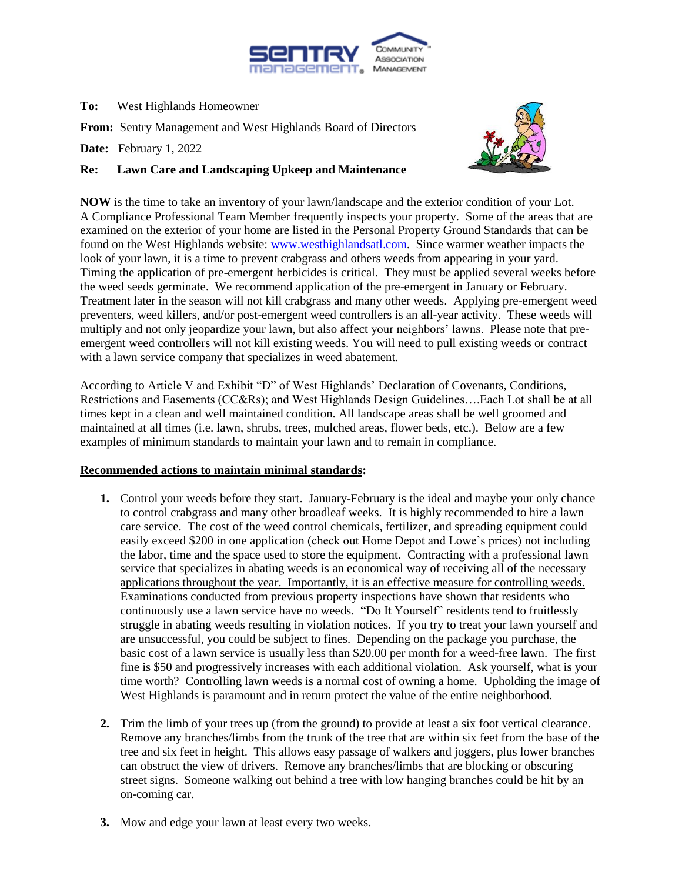

## **To:** West Highlands Homeowner

**From:** Sentry Management and West Highlands Board of Directors

**Date:** February 1, 2022

## **Re: Lawn Care and Landscaping Upkeep and Maintenance**



**NOW** is the time to take an inventory of your lawn/landscape and the exterior condition of your Lot. A Compliance Professional Team Member frequently inspects your property. Some of the areas that are examined on the exterior of your home are listed in the Personal Property Ground Standards that can be found on the West Highlands website: [www.westhighlandsatl.com.](http://www.westhighlandsatl.com/) Since warmer weather impacts the look of your lawn, it is a time to prevent crabgrass and others weeds from appearing in your yard. Timing the application of pre-emergent herbicides is critical. They must be applied several weeks before the weed seeds germinate. We recommend application of the pre-emergent in January or February. Treatment later in the season will not kill crabgrass and many other weeds. Applying pre-emergent weed preventers, weed killers, and/or post-emergent weed controllers is an all-year activity. These weeds will multiply and not only jeopardize your lawn, but also affect your neighbors' lawns. Please note that preemergent weed controllers will not kill existing weeds. You will need to pull existing weeds or contract with a lawn service company that specializes in weed abatement.

According to Article V and Exhibit "D" of West Highlands' Declaration of Covenants, Conditions, Restrictions and Easements (CC&Rs); and West Highlands Design Guidelines….Each Lot shall be at all times kept in a clean and well maintained condition. All landscape areas shall be well groomed and maintained at all times (i.e. lawn, shrubs, trees, mulched areas, flower beds, etc.). Below are a few examples of minimum standards to maintain your lawn and to remain in compliance.

## **Recommended actions to maintain minimal standards:**

- **1.** Control your weeds before they start. January-February is the ideal and maybe your only chance to control crabgrass and many other broadleaf weeks. It is highly recommended to hire a lawn care service. The cost of the weed control chemicals, fertilizer, and spreading equipment could easily exceed \$200 in one application (check out Home Depot and Lowe's prices) not including the labor, time and the space used to store the equipment. Contracting with a professional lawn service that specializes in abating weeds is an economical way of receiving all of the necessary applications throughout the year. Importantly, it is an effective measure for controlling weeds. Examinations conducted from previous property inspections have shown that residents who continuously use a lawn service have no weeds. "Do It Yourself" residents tend to fruitlessly struggle in abating weeds resulting in violation notices. If you try to treat your lawn yourself and are unsuccessful, you could be subject to fines. Depending on the package you purchase, the basic cost of a lawn service is usually less than \$20.00 per month for a weed-free lawn. The first fine is \$50 and progressively increases with each additional violation. Ask yourself, what is your time worth? Controlling lawn weeds is a normal cost of owning a home. Upholding the image of West Highlands is paramount and in return protect the value of the entire neighborhood.
- **2.** Trim the limb of your trees up (from the ground) to provide at least a six foot vertical clearance. Remove any branches/limbs from the trunk of the tree that are within six feet from the base of the tree and six feet in height. This allows easy passage of walkers and joggers, plus lower branches can obstruct the view of drivers. Remove any branches/limbs that are blocking or obscuring street signs. Someone walking out behind a tree with low hanging branches could be hit by an on-coming car.
- **3.** Mow and edge your lawn at least every two weeks.